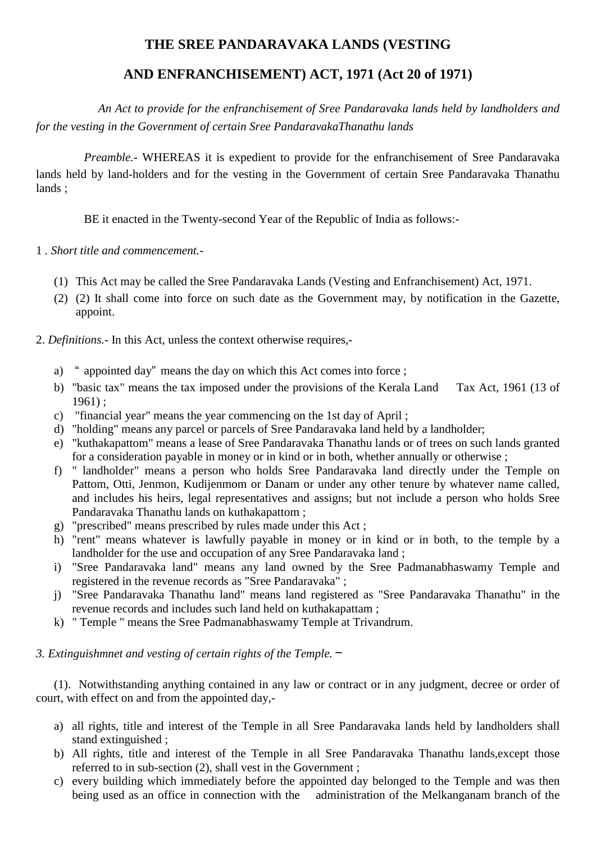# **THE SREE PANDARAVAKA LANDS (VESTING**

## **AND ENFRANCHISEMENT) ACT, 1971 (Act 20 of 1971)**

 *An Act to provide for the enfranchisement of Sree Pandaravaka lands held by landholders and for the vesting in the Government of certain Sree PandaravakaThanathu lands*

 *Preamble.-* WHEREAS it is expedient to provide for the enfranchisement of Sree Pandaravaka lands held by land-holders and for the vesting in the Government of certain Sree Pandaravaka Thanathu lands ;

BE it enacted in the Twenty-second Year of the Republic of India as follows:-

1 *. Short title and commencement.-*

- (1) This Act may be called the Sree Pandaravaka Lands (Vesting and Enfranchisement) Act, 1971.
- (2) (2) It shall come into force on such date as the Government may, by notification in the Gazette, appoint.
- 2. *Definitions.-* In this Act, unless the context otherwise requires,
	- a) " appointed day" means the day on which this Act comes into force ;
	- b) "basic tax" means the tax imposed under the provisions of the Kerala Land Tax Act, 1961 (13 of  $1961$ :
	- c) "financial year" means the year commencing on the 1st day of April ;
	- d) "holding" means any parcel or parcels of Sree Pandaravaka land held by a landholder;
	- e) "kuthakapattom" means a lease of Sree Pandaravaka Thanathu lands or of trees on such lands granted for a consideration payable in money or in kind or in both, whether annually or otherwise ;
	- f) " landholder" means a person who holds Sree Pandaravaka land directly under the Temple on Pattom, Otti, Jenmon, Kudijenmom or Danam or under any other tenure by whatever name called, and includes his heirs, legal representatives and assigns; but not include a person who holds Sree Pandaravaka Thanathu lands on kuthakapattom ;
	- g) "prescribed" means prescribed by rules made under this Act ;
	- h) "rent" means whatever is lawfully payable in money or in kind or in both, to the temple by a landholder for the use and occupation of any Sree Pandaravaka land;
	- i) "Sree Pandaravaka land" means any land owned by the Sree Padmanabhaswamy Temple and registered in the revenue records as "Sree Pandaravaka" ;
	- j) "Sree Pandaravaka Thanathu land" means land registered as "Sree Pandaravaka Thanathu" in the revenue records and includes such land held on kuthakapattam ;
	- k) " Temple " means the Sree Padmanabhaswamy Temple at Trivandrum.

### *3. Extinguishmnet and vesting of certain rights of the Temple.* –

(1). Notwithstanding anything contained in any law or contract or in any judgment, decree or order of court, with effect on and from the appointed day,-

- a) all rights, title and interest of the Temple in all Sree Pandaravaka lands held by landholders shall stand extinguished ;
- b) All rights, title and interest of the Temple in all Sree Pandaravaka Thanathu lands,except those referred to in sub-section (2), shall vest in the Government ;
- c) every building which immediately before the appointed day belonged to the Temple and was then being used as an office in connection with the administration of the Melkanganam branch of the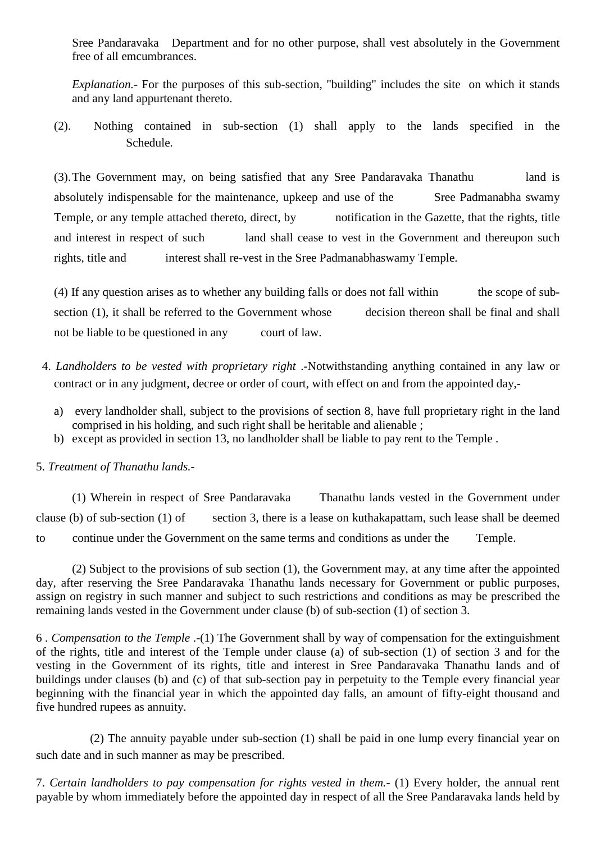Sree Pandaravaka Department and for no other purpose, shall vest absolutely in the Government free of all emcumbrances.

*Explanation.-* For the purposes of this sub-section, "building" includes the site on which it stands and any land appurtenant thereto.

(2). Nothing contained in sub-section (1) shall apply to the lands specified in the Schedule.

(3).The Government may, on being satisfied that any Sree Pandaravaka Thanathu land is absolutely indispensable for the maintenance, upkeep and use of the Sree Padmanabha swamy Temple, or any temple attached thereto, direct, by notification in the Gazette, that the rights, title and interest in respect of such land shall cease to vest in the Government and thereupon such rights, title and interest shall re-vest in the Sree Padmanabhaswamy Temple.

(4) If any question arises as to whether any building falls or does not fall within the scope of subsection (1), it shall be referred to the Government whose decision thereon shall be final and shall not be liable to be questioned in any court of law.

- 4. *Landholders to be vested with proprietary right* .-Notwithstanding anything contained in any law or contract or in any judgment, decree or order of court, with effect on and from the appointed day,
	- a) every landholder shall, subject to the provisions of section 8, have full proprietary right in the land comprised in his holding, and such right shall be heritable and alienable ;
	- b) except as provided in section 13, no landholder shall be liable to pay rent to the Temple .

5. *Treatment of Thanathu lands.-*

(1) Wherein in respect of Sree Pandaravaka Thanathu lands vested in the Government under clause (b) of sub-section (1) of section 3, there is a lease on kuthakapattam, such lease shall be deemed to continue under the Government on the same terms and conditions as under the Temple.

(2) Subject to the provisions of sub section (1), the Government may, at any time after the appointed day, after reserving the Sree Pandaravaka Thanathu lands necessary for Government or public purposes, assign on registry in such manner and subject to such restrictions and conditions as may be prescribed the remaining lands vested in the Government under clause (b) of sub-section (1) of section 3.

6 *. Compensation to the Temple* .-(1) The Government shall by way of compensation for the extinguishment of the rights, title and interest of the Temple under clause (a) of sub-section (1) of section 3 and for the vesting in the Government of its rights, title and interest in Sree Pandaravaka Thanathu lands and of buildings under clauses (b) and (c) of that sub-section pay in perpetuity to the Temple every financial year beginning with the financial year in which the appointed day falls, an amount of fifty-eight thousand and five hundred rupees as annuity.

 (2) The annuity payable under sub-section (1) shall be paid in one lump every financial year on such date and in such manner as may be prescribed.

7. *Certain landholders to pay compensation for rights vested in them.-* (1) Every holder, the annual rent payable by whom immediately before the appointed day in respect of all the Sree Pandaravaka lands held by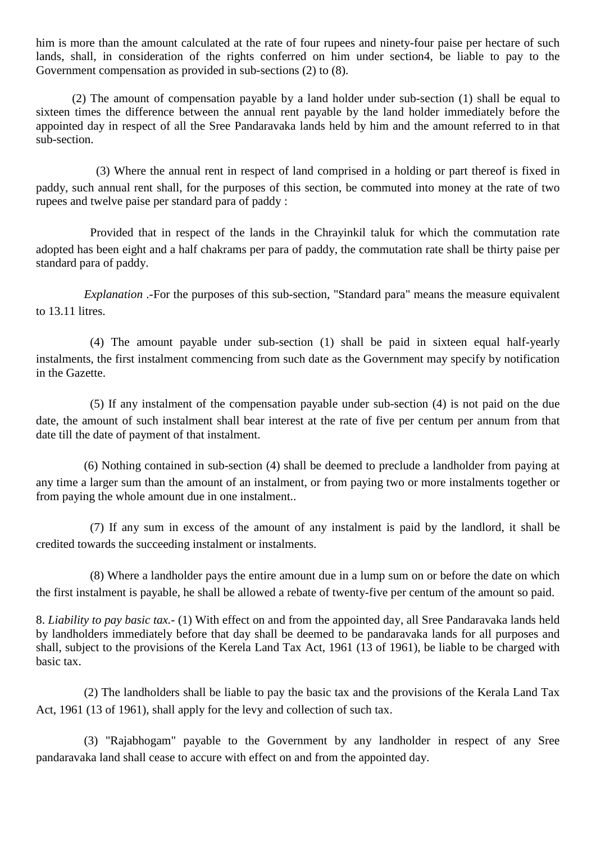him is more than the amount calculated at the rate of four rupees and ninety-four paise per hectare of such lands, shall, in consideration of the rights conferred on him under section4, be liable to pay to the Government compensation as provided in sub-sections (2) to (8).

(2) The amount of compensation payable by a land holder under sub-section (1) shall be equal to sixteen times the difference between the annual rent payable by the land holder immediately before the appointed day in respect of all the Sree Pandaravaka lands held by him and the amount referred to in that sub-section.

 (3) Where the annual rent in respect of land comprised in a holding or part thereof is fixed in paddy, such annual rent shall, for the purposes of this section, be commuted into money at the rate of two rupees and twelve paise per standard para of paddy :

 Provided that in respect of the lands in the Chrayinkil taluk for which the commutation rate adopted has been eight and a half chakrams per para of paddy, the commutation rate shall be thirty paise per standard para of paddy.

 *Explanation* .-For the purposes of this sub-section, "Standard para" means the measure equivalent to 13.11 litres.

 (4) The amount payable under sub-section (1) shall be paid in sixteen equal half-yearly instalments, the first instalment commencing from such date as the Government may specify by notification in the Gazette.

 (5) If any instalment of the compensation payable under sub-section (4) is not paid on the due date, the amount of such instalment shall bear interest at the rate of five per centum per annum from that date till the date of payment of that instalment.

 (6) Nothing contained in sub-section (4) shall be deemed to preclude a landholder from paying at any time a larger sum than the amount of an instalment, or from paying two or more instalments together or from paying the whole amount due in one instalment..

 (7) If any sum in excess of the amount of any instalment is paid by the landlord, it shall be credited towards the succeeding instalment or instalments.

 (8) Where a landholder pays the entire amount due in a lump sum on or before the date on which the first instalment is payable, he shall be allowed a rebate of twenty-five per centum of the amount so paid.

8. *Liability to pay basic tax.-* (1) With effect on and from the appointed day, all Sree Pandaravaka lands held by landholders immediately before that day shall be deemed to be pandaravaka lands for all purposes and shall, subject to the provisions of the Kerela Land Tax Act, 1961 (13 of 1961), be liable to be charged with basic tax.

 (2) The landholders shall be liable to pay the basic tax and the provisions of the Kerala Land Tax Act, 1961 (13 of 1961), shall apply for the levy and collection of such tax.

 (3) "Rajabhogam" payable to the Government by any landholder in respect of any Sree pandaravaka land shall cease to accure with effect on and from the appointed day.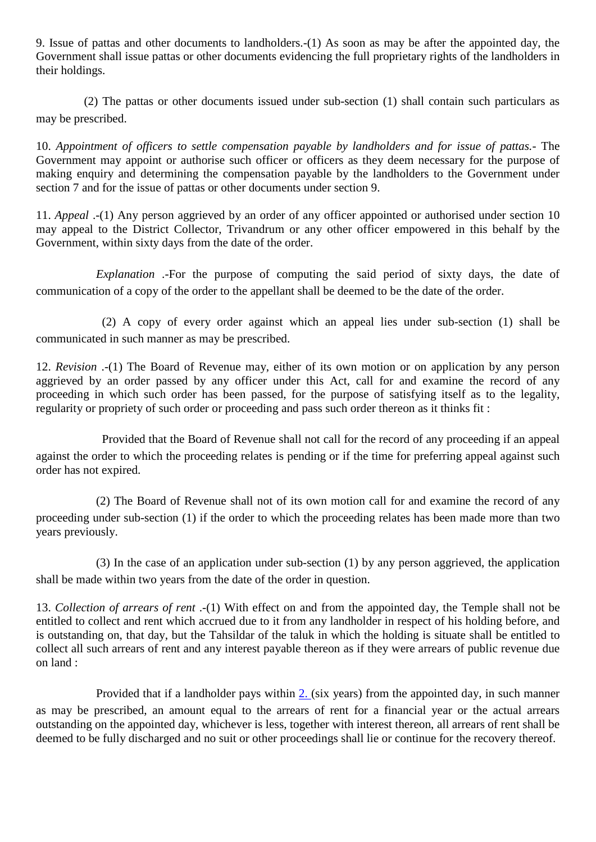9. Issue of pattas and other documents to landholders.-(1) As soon as may be after the appointed day, the Government shall issue pattas or other documents evidencing the full proprietary rights of the landholders in their holdings.

 (2) The pattas or other documents issued under sub-section (1) shall contain such particulars as may be prescribed.

10. *Appointment of officers to settle compensation payable by landholders and for issue of pattas.-* The Government may appoint or authorise such officer or officers as they deem necessary for the purpose of making enquiry and determining the compensation payable by the landholders to the Government under section 7 and for the issue of pattas or other documents under section 9.

11. *Appeal* .-(1) Any person aggrieved by an order of any officer appointed or authorised under section 10 may appeal to the District Collector, Trivandrum or any other officer empowered in this behalf by the Government, within sixty days from the date of the order.

 *Explanation* .-For the purpose of computing the said period of sixty days, the date of communication of a copy of the order to the appellant shall be deemed to be the date of the order.

 (2) A copy of every order against which an appeal lies under sub-section (1) shall be communicated in such manner as may be prescribed.

12. *Revision* .-(1) The Board of Revenue may, either of its own motion or on application by any person aggrieved by an order passed by any officer under this Act, call for and examine the record of any proceeding in which such order has been passed, for the purpose of satisfying itself as to the legality, regularity or propriety of such order or proceeding and pass such order thereon as it thinks fit :

 Provided that the Board of Revenue shall not call for the record of any proceeding if an appeal against the order to which the proceeding relates is pending or if the time for preferring appeal against such order has not expired.

 (2) The Board of Revenue shall not of its own motion call for and examine the record of any proceeding under sub-section (1) if the order to which the proceeding relates has been made more than two years previously.

 (3) In the case of an application under sub-section (1) by any person aggrieved, the application shall be made within two years from the date of the order in question.

13. *Collection of arrears of rent* .-(1) With effect on and from the appointed day, the Temple shall not be entitled to collect and rent which accrued due to it from any landholder in respect of his holding before, and is outstanding on, that day, but the Tahsildar of the taluk in which the holding is situate shall be entitled to collect all such arrears of rent and any interest payable thereon as if they were arrears of public revenue due on land :

 Provided that if a landholder pays within [2. \(](http://keralalawsect.org/acts/Act1971/Act20_1971/index.html#_ftn2)six years) from the appointed day, in such manner as may be prescribed, an amount equal to the arrears of rent for a financial year or the actual arrears outstanding on the appointed day, whichever is less, together with interest thereon, all arrears of rent shall be deemed to be fully discharged and no suit or other proceedings shall lie or continue for the recovery thereof.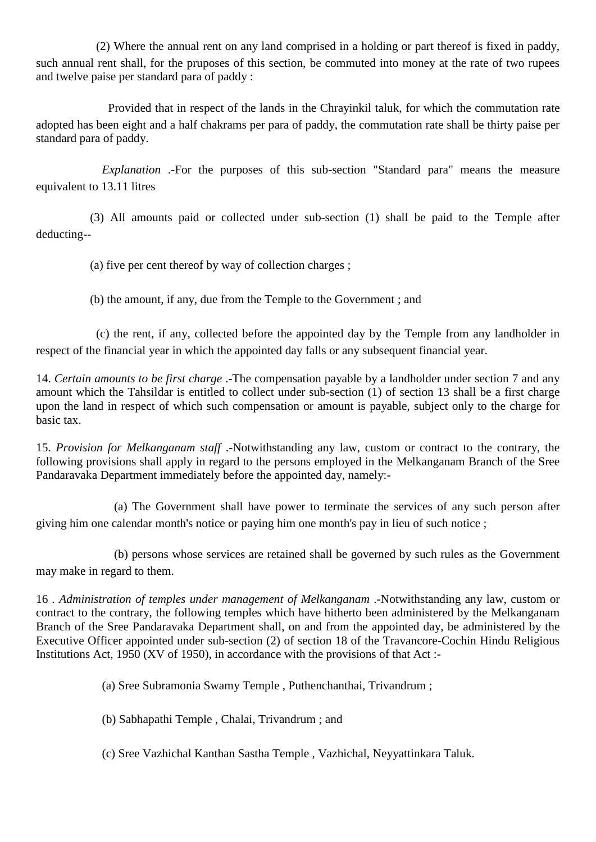(2) Where the annual rent on any land comprised in a holding or part thereof is fixed in paddy, such annual rent shall, for the pruposes of this section, be commuted into money at the rate of two rupees and twelve paise per standard para of paddy :

 Provided that in respect of the lands in the Chrayinkil taluk, for which the commutation rate adopted has been eight and a half chakrams per para of paddy, the commutation rate shall be thirty paise per standard para of paddy.

 *Explanation* .-For the purposes of this sub-section "Standard para" means the measure equivalent to 13.11 litres

 (3) All amounts paid or collected under sub-section (1) shall be paid to the Temple after deducting--

(a) five per cent thereof by way of collection charges ;

(b) the amount, if any, due from the Temple to the Government ; and

 (c) the rent, if any, collected before the appointed day by the Temple from any landholder in respect of the financial year in which the appointed day falls or any subsequent financial year.

14. *Certain amounts to be first charge* .-The compensation payable by a landholder under section 7 and any amount which the Tahsildar is entitled to collect under sub-section (1) of section 13 shall be a first charge upon the land in respect of which such compensation or amount is payable, subject only to the charge for basic tax.

15. *Provision for Melkanganam staff* .-Notwithstanding any law, custom or contract to the contrary, the following provisions shall apply in regard to the persons employed in the Melkanganam Branch of the Sree Pandaravaka Department immediately before the appointed day, namely:-

 (a) The Government shall have power to terminate the services of any such person after giving him one calendar month's notice or paying him one month's pay in lieu of such notice ;

 (b) persons whose services are retained shall be governed by such rules as the Government may make in regard to them.

16 *. Administration of temples under management of Melkanganam* .-Notwithstanding any law, custom or contract to the contrary, the following temples which have hitherto been administered by the Melkanganam Branch of the Sree Pandaravaka Department shall, on and from the appointed day, be administered by the Executive Officer appointed under sub-section (2) of section 18 of the Travancore-Cochin Hindu Religious Institutions Act, 1950 (XV of 1950), in accordance with the provisions of that Act :-

(a) Sree Subramonia Swamy Temple , Puthenchanthai, Trivandrum ;

(b) Sabhapathi Temple , Chalai, Trivandrum ; and

(c) Sree Vazhichal Kanthan Sastha Temple , Vazhichal, Neyyattinkara Taluk.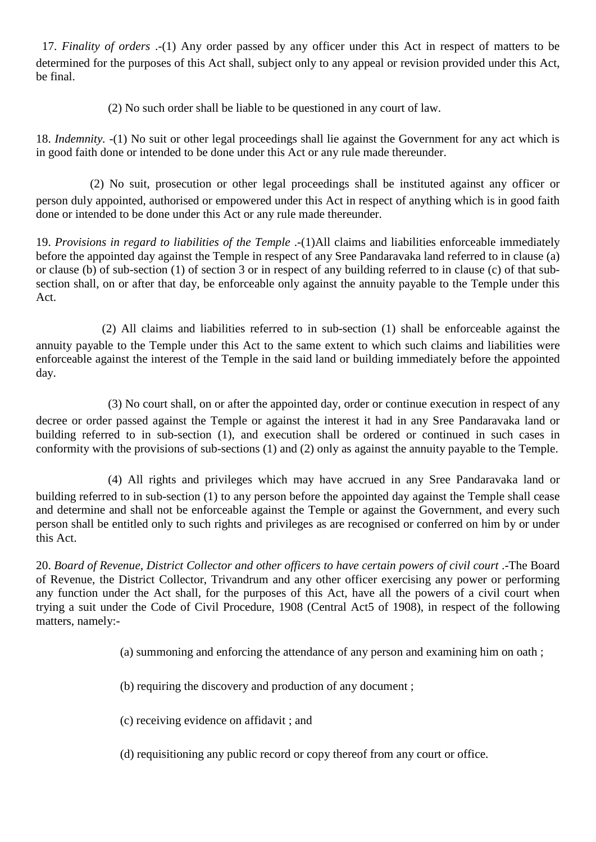17. *Finality of orders* .-(1) Any order passed by any officer under this Act in respect of matters to be determined for the purposes of this Act shall, subject only to any appeal or revision provided under this Act, be final.

(2) No such order shall be liable to be questioned in any court of law.

18. *Indemnity.* -(1) No suit or other legal proceedings shall lie against the Government for any act which is in good faith done or intended to be done under this Act or any rule made thereunder.

 (2) No suit, prosecution or other legal proceedings shall be instituted against any officer or person duly appointed, authorised or empowered under this Act in respect of anything which is in good faith done or intended to be done under this Act or any rule made thereunder.

19. *Provisions in regard to liabilities of the Temple* .-(1)All claims and liabilities enforceable immediately before the appointed day against the Temple in respect of any Sree Pandaravaka land referred to in clause (a) or clause (b) of sub-section (1) of section 3 or in respect of any building referred to in clause (c) of that subsection shall, on or after that day, be enforceable only against the annuity payable to the Temple under this Act.

 (2) All claims and liabilities referred to in sub-section (1) shall be enforceable against the annuity payable to the Temple under this Act to the same extent to which such claims and liabilities were enforceable against the interest of the Temple in the said land or building immediately before the appointed day.

 (3) No court shall, on or after the appointed day, order or continue execution in respect of any decree or order passed against the Temple or against the interest it had in any Sree Pandaravaka land or building referred to in sub-section (1), and execution shall be ordered or continued in such cases in conformity with the provisions of sub-sections (1) and (2) only as against the annuity payable to the Temple.

 (4) All rights and privileges which may have accrued in any Sree Pandaravaka land or building referred to in sub-section (1) to any person before the appointed day against the Temple shall cease and determine and shall not be enforceable against the Temple or against the Government, and every such person shall be entitled only to such rights and privileges as are recognised or conferred on him by or under this Act.

20. *Board of Revenue, District Collector and other officers to have certain powers of civil court* .-The Board of Revenue, the District Collector, Trivandrum and any other officer exercising any power or performing any function under the Act shall, for the purposes of this Act, have all the powers of a civil court when trying a suit under the Code of Civil Procedure, 1908 (Central Act5 of 1908), in respect of the following matters, namely:-

(a) summoning and enforcing the attendance of any person and examining him on oath ;

(b) requiring the discovery and production of any document ;

(c) receiving evidence on affidavit ; and

(d) requisitioning any public record or copy thereof from any court or office.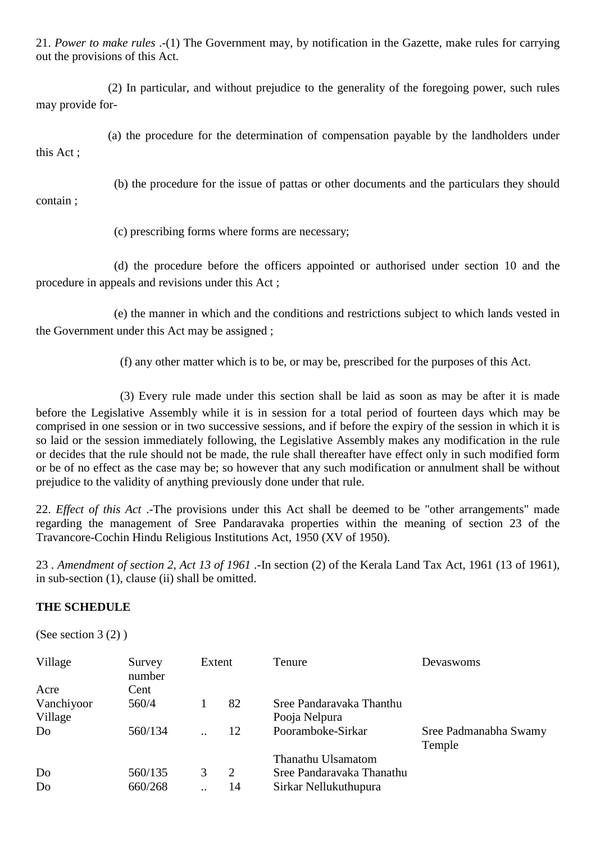21. *Power to make rules* .-(1) The Government may, by notification in the Gazette, make rules for carrying out the provisions of this Act.

 (2) In particular, and without prejudice to the generality of the foregoing power, such rules may provide for-

 (a) the procedure for the determination of compensation payable by the landholders under this Act ;

(b) the procedure for the issue of pattas or other documents and the particulars they should

### contain ;

(c) prescribing forms where forms are necessary;

 (d) the procedure before the officers appointed or authorised under section 10 and the procedure in appeals and revisions under this Act ;

 (e) the manner in which and the conditions and restrictions subject to which lands vested in the Government under this Act may be assigned ;

(f) any other matter which is to be, or may be, prescribed for the purposes of this Act.

 (3) Every rule made under this section shall be laid as soon as may be after it is made before the Legislative Assembly while it is in session for a total period of fourteen days which may be comprised in one session or in two successive sessions, and if before the expiry of the session in which it is so laid or the session immediately following, the Legislative Assembly makes any modification in the rule or decides that the rule should not be made, the rule shall thereafter have effect only in such modified form or be of no effect as the case may be; so however that any such modification or annulment shall be without prejudice to the validity of anything previously done under that rule.

22. *Effect of this Act* .-The provisions under this Act shall be deemed to be "other arrangements" made regarding the management of Sree Pandaravaka properties within the meaning of section 23 of the Travancore-Cochin Hindu Religious Institutions Act, 1950 (XV of 1950).

23 *. Amendment of section 2, Act 13 of 1961* .-In section (2) of the Kerala Land Tax Act, 1961 (13 of 1961), in sub-section (1), clause (ii) shall be omitted.

### **THE SCHEDULE**

(See section 3 (2) )

| Village<br>Acre       | Survey<br>number<br>Cent | Extent          |    | Tenure                                    | Devaswoms                       |
|-----------------------|--------------------------|-----------------|----|-------------------------------------------|---------------------------------|
| Vanchiyoor<br>Village | 560/4                    |                 | 82 | Sree Pandaravaka Thanthu<br>Pooja Nelpura |                                 |
| Do                    | 560/134                  |                 | 12 | Pooramboke-Sirkar                         | Sree Padmanabha Swamy<br>Temple |
|                       |                          |                 |    | Thanathu Ulsamatom                        |                                 |
| Do                    | 560/135                  | 3               | 2  | Sree Pandaravaka Thanathu                 |                                 |
| Do                    | 660/268                  | $\cdot$ $\cdot$ | 14 | Sirkar Nellukuthupura                     |                                 |